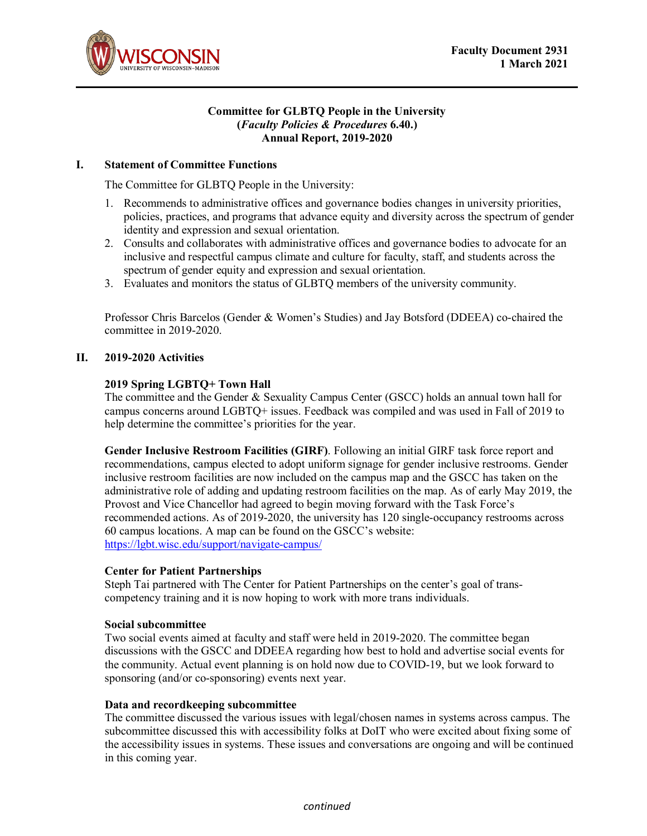

#### **Committee for GLBTQ People in the University (***Faculty Policies & Procedures* **6.40.) Annual Report, 2019-2020**

## **I. Statement of Committee Functions**

The Committee for GLBTQ People in the University:

- 1. Recommends to administrative offices and governance bodies changes in university priorities, policies, practices, and programs that advance equity and diversity across the spectrum of gender identity and expression and sexual orientation.
- 2. Consults and collaborates with administrative offices and governance bodies to advocate for an inclusive and respectful campus climate and culture for faculty, staff, and students across the spectrum of gender equity and expression and sexual orientation.
- 3. Evaluates and monitors the status of GLBTQ members of the university community.

Professor Chris Barcelos (Gender & Women's Studies) and Jay Botsford (DDEEA) co-chaired the committee in 2019-2020.

# **II. 2019-2020 Activities**

## **2019 Spring LGBTQ+ Town Hall**

The committee and the Gender & Sexuality Campus Center (GSCC) holds an annual town hall for campus concerns around LGBTQ+ issues. Feedback was compiled and was used in Fall of 2019 to help determine the committee's priorities for the year.

**Gender Inclusive Restroom Facilities (GIRF)**. Following an initial GIRF task force report and recommendations, campus elected to adopt uniform signage for gender inclusive restrooms. Gender inclusive restroom facilities are now included on the campus map and the GSCC has taken on the administrative role of adding and updating restroom facilities on the map. As of early May 2019, the Provost and Vice Chancellor had agreed to begin moving forward with the Task Force's recommended actions. As of 2019-2020, the university has 120 single-occupancy restrooms across 60 campus locations. A map can be found on the GSCC's website: <https://lgbt.wisc.edu/support/navigate-campus/>

## **Center for Patient Partnerships**

Steph Tai partnered with The Center for Patient Partnerships on the center's goal of transcompetency training and it is now hoping to work with more trans individuals.

## **Social subcommittee**

Two social events aimed at faculty and staff were held in 2019-2020. The committee began discussions with the GSCC and DDEEA regarding how best to hold and advertise social events for the community. Actual event planning is on hold now due to COVID-19, but we look forward to sponsoring (and/or co-sponsoring) events next year.

## **Data and recordkeeping subcommittee**

The committee discussed the various issues with legal/chosen names in systems across campus. The subcommittee discussed this with accessibility folks at DoIT who were excited about fixing some of the accessibility issues in systems. These issues and conversations are ongoing and will be continued in this coming year.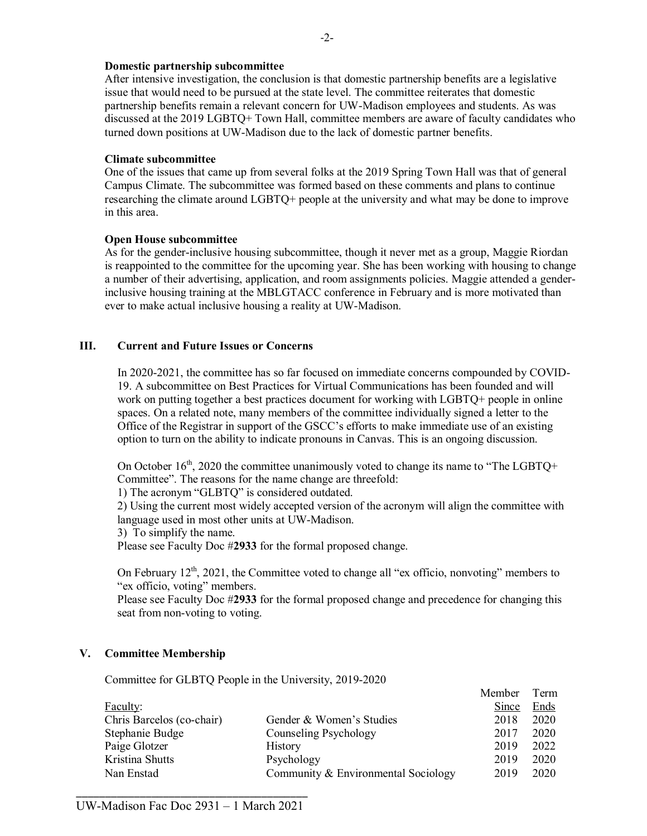## **Domestic partnership subcommittee**

After intensive investigation, the conclusion is that domestic partnership benefits are a legislative issue that would need to be pursued at the state level. The committee reiterates that domestic partnership benefits remain a relevant concern for UW-Madison employees and students. As was discussed at the 2019 LGBTQ+ Town Hall, committee members are aware of faculty candidates who turned down positions at UW-Madison due to the lack of domestic partner benefits.

#### **Climate subcommittee**

One of the issues that came up from several folks at the 2019 Spring Town Hall was that of general Campus Climate. The subcommittee was formed based on these comments and plans to continue researching the climate around LGBTQ+ people at the university and what may be done to improve in this area.

## **Open House subcommittee**

As for the gender-inclusive housing subcommittee, though it never met as a group, Maggie Riordan is reappointed to the committee for the upcoming year. She has been working with housing to change a number of their advertising, application, and room assignments policies. Maggie attended a genderinclusive housing training at the MBLGTACC conference in February and is more motivated than ever to make actual inclusive housing a reality at UW-Madison.

## **III. Current and Future Issues or Concerns**

In 2020-2021, the committee has so far focused on immediate concerns compounded by COVID-19. A subcommittee on Best Practices for Virtual Communications has been founded and will work on putting together a best practices document for working with LGBTQ+ people in online spaces. On a related note, many members of the committee individually signed a letter to the Office of the Registrar in support of the GSCC's efforts to make immediate use of an existing option to turn on the ability to indicate pronouns in Canvas. This is an ongoing discussion.

On October  $16<sup>th</sup>$ , 2020 the committee unanimously voted to change its name to "The LGBTQ+ Committee". The reasons for the name change are threefold:

1) The acronym "GLBTQ" is considered outdated.

2) Using the current most widely accepted version of the acronym will align the committee with language used in most other units at UW-Madison.

3) To simplify the name.

Please see Faculty Doc #**2933** for the formal proposed change.

On February  $12<sup>th</sup>$ , 2021, the Committee voted to change all "ex officio, nonvoting" members to "ex officio, voting" members.

Please see Faculty Doc #**2933** for the formal proposed change and precedence for changing this seat from non-voting to voting.

 $M = 1$ 

## **V. Committee Membership**

Committee for GLBTQ People in the University, 2019-2020

|                           |                                     | Member | 1 erm |
|---------------------------|-------------------------------------|--------|-------|
| Faculty:                  |                                     | Since  | Ends  |
| Chris Barcelos (co-chair) | Gender & Women's Studies            | 2018   | 2020  |
| Stephanie Budge           | Counseling Psychology               | 2017   | 2020  |
| Paige Glotzer             | <b>History</b>                      | 2019   | 2022  |
| Kristina Shutts           | Psychology                          | 2019   | 2020  |
| Nan Enstad                | Community & Environmental Sociology | 2019   | 2020  |
|                           |                                     |        |       |